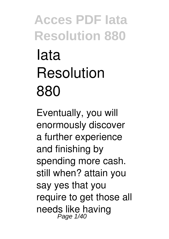# **Iata Resolution 880**

Eventually, you will enormously discover a further experience and finishing by spending more cash. still when? attain you say yes that you require to get those all needs like having Page 1/40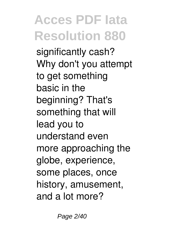significantly cash? Why don't you attempt to get something basic in the beginning? That's something that will lead you to understand even more approaching the globe, experience, some places, once history, amusement, and a lot more?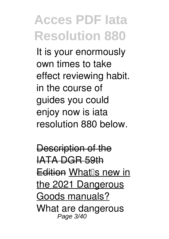It is your enormously own times to take effect reviewing habit. in the course of guides you could enjoy now is **iata resolution 880** below.

Description of the IATA DGR 59th Edition What<sup>®</sup>s new in the 2021 Dangerous Goods manuals? **What are dangerous** Page 3/40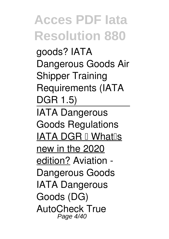**goods? IATA Dangerous Goods Air Shipper Training Requirements (IATA DGR 1.5)**

IATA Dangerous Goods Regulations IATA DGR II Whatlis new in the 2020 edition? Aviation - Dangerous Goods IATA Dangerous Goods (DG) AutoCheck True Page 4/40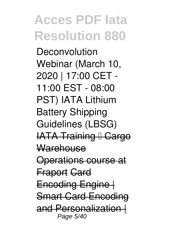**Deconvolution** Webinar (March 10, 2020 | 17:00 CET - 11:00 EST - 08:00 PST) IATA Lithium Battery Shipping Guidelines (LBSG) **IATA Training I Cargo** Warehouse Operations course at Fraport Card Encoding Engine | Smart Card Encoding and Personalizatio Page 5/40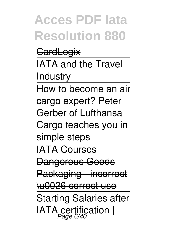**CardLogix** IATA and the Travel Industry How to become an air cargo expert? Peter Gerber of Lufthansa Cargo teaches you in simple steps IATA Courses Dangerous Goods Packaging incorrect \u0026 correct use Starting Salaries after IATA certification  $|$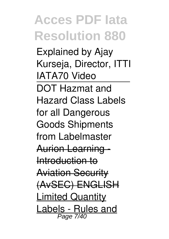Explained by Ajay Kurseja, Director, ITTI IATA70 Video DOT Hazmat and Hazard Class Labels for all Dangerous Goods Shipments from Labelmaster Aurion Learning - Introduction to Aviation Security (AvSEC) ENGLISH Limited Quantity Labels - Rules and Page 7/40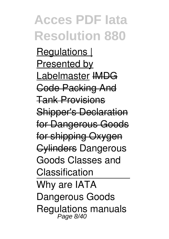Regulations I Presented by Labelmaster **IMDG** Code Packing And Tank Provisions Shipper's Declaration for Dangerous Goods for shipping Oxygen Cylinders *Dangerous Goods Classes and Classification* Why are IATA Dangerous Goods Regulations manuals Page 8/40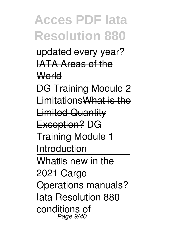updated every year? IATA Areas of the **World** 

DG Training Module 2 LimitationsWhat is the Limited Quantity Exception? **DG Training Module 1 Introduction** What<sup>lls</sup> new in the 2021 Cargo Operations manuals? *Iata Resolution 880* conditions of Page 9/40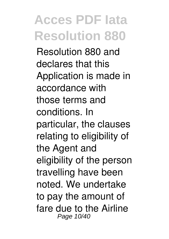Resolution 880 and declares that this Application is made in accordance with those terms and conditions. In particular, the clauses relating to eligibility of the Agent and eligibility of the person travelling have been noted. We undertake to pay the amount of fare due to the Airline Page 10/40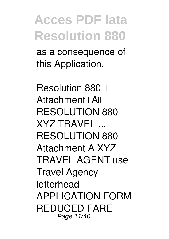as a consequence of this Application.

*Resolution 880 — Attachment 'A' RESOLUTION 880 XYZ TRAVEL ...* RESOLUTION 880 Attachment A XYZ TRAVEL AGENT use Travel Agency letterhead APPLICATION FORM REDUCED FARE Page 11/40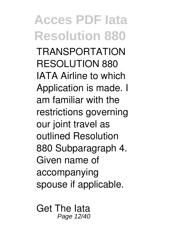**Acces PDF Iata Resolution 880** TRANSPORTATION RESOLUTION 880 IATA Airline to which Application is made. I am familiar with the restrictions governing our joint travel as outlined Resolution 880 Subparagraph 4. Given name of accompanying spouse if applicable.

*Get The Iata* Page 12/40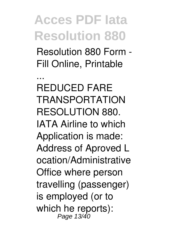*Resolution 880 Form - Fill Online, Printable*

*...* REDUCED FARE TRANSPORTATION RESOLUTION 880. IATA Airline to which Application is made: Address of Aproved L ocation/Administrative Office where person travelling (passenger) is employed (or to which he reports): Page 13/40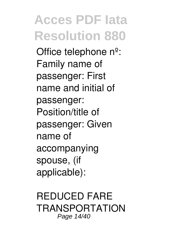Office telephone nº: Family name of passenger: First name and initial of passenger: Position/title of passenger: Given name of accompanying spouse, (if applicable):

*REDUCED FARE TRANSPORTATION* Page 14/40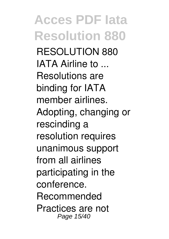**Acces PDF Iata Resolution 880** *RESOLUTION 880 IATA Airline to ...* Resolutions are binding for IATA member airlines. Adopting, changing or rescinding a resolution requires unanimous support from all airlines participating in the conference. Recommended Practices are not Page 15/40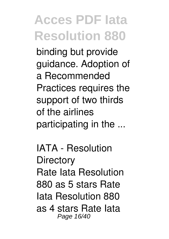binding but provide guidance. Adoption of a Recommended Practices requires the support of two thirds of the airlines participating in the ...

*IATA - Resolution Directory* Rate Iata Resolution 880 as 5 stars Rate Iata Resolution 880 as 4 stars Rate Iata Page 16/40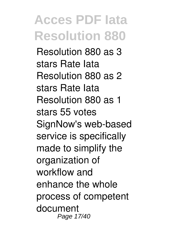Resolution 880 as 3 stars Rate Iata Resolution 880 as 2 stars Rate Iata Resolution 880 as 1 stars 55 votes SignNow's web-based service is specifically made to simplify the organization of workflow and enhance the whole process of competent document Page 17/40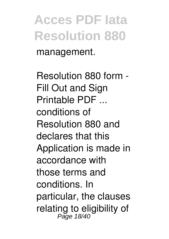management.

*Resolution 880 form - Fill Out and Sign Printable PDF ...* conditions of Resolution 880 and declares that this Application is made in accordance with those terms and conditions. In particular, the clauses relating to eligibility of<br>Page 18/40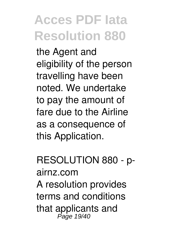the Agent and eligibility of the person travelling have been noted. We undertake to pay the amount of fare due to the Airline as a consequence of this Application.

*RESOLUTION 880 - pairnz.com* A resolution provides terms and conditions that applicants and Page 19/40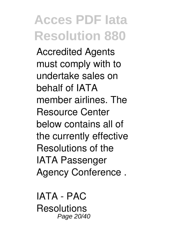Accredited Agents must comply with to undertake sales on behalf of IATA member airlines. The Resource Center below contains all of the currently effective Resolutions of the IATA Passenger Agency Conference .

*IATA - PAC Resolutions* Page 20/40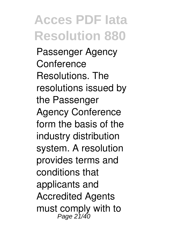Passenger Agency **Conference** Resolutions. The resolutions issued by the Passenger Agency Conference form the basis of the industry distribution system. A resolution provides terms and conditions that applicants and Accredited Agents must comply with to Page 21/40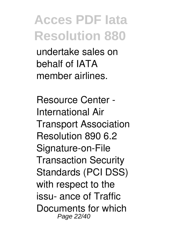undertake sales on behalf of IATA member airlines.

*Resource Center - International Air Transport Association* Resolution 890 6.2 Signature-on-File Transaction Security Standards (PCI DSS) with respect to the issu- ance of Traffic Documents for which Page 22/40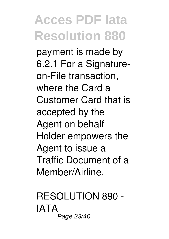payment is made by 6.2.1 For a Signatureon-File transaction, where the Card a Customer Card that is accepted by the Agent on behalf Holder empowers the Agent to issue a Traffic Document of a Member/Airline.

*RESOLUTION 890 - IATA* Page 23/40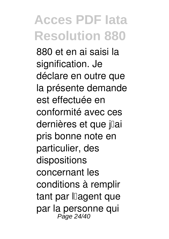880 et en ai saisi la signification. Je déclare en outre que la présente demande est effectuée en conformité avec ces dernières et que jlai pris bonne note en particulier, des dispositions concernant les conditions à remplir tant par llagent que par la personne qui Page 24/40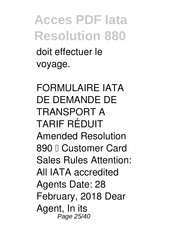doit effectuer le voyage.

*FORMULAIRE IATA DE DEMANDE DE TRANSPORT A TARIF RÉDUIT* Amended Resolution 890 <sub>I</sub> Customer Card Sales Rules Attention: All IATA accredited Agents Date: 28 February, 2018 Dear Agent, In its Page 25/40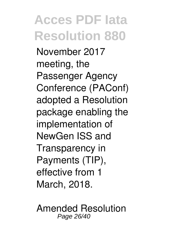November 2017 meeting, the Passenger Agency Conference (PAConf) adopted a Resolution package enabling the implementation of NewGen ISS and Transparency in Payments (TIP), effective from 1 March, 2018.

*Amended Resolution* Page 26/40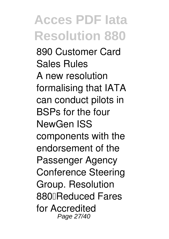*890 Customer Card Sales Rules* A new resolution formalising that IATA can conduct pilots in BSPs for the four NewGen ISS components with the endorsement of the Passenger Agency Conference Steering Group. Resolution 880 Reduced Fares for Accredited Page 27/40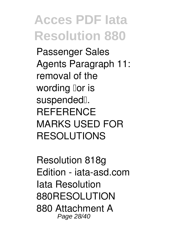Passenger Sales Agents Paragraph 11: removal of the wording lor is suspended<sup>[]</sup>. **REFERENCE** MARKS USED FOR RESOLUTIONS

*Resolution 818g Edition - iata-asd.com* Iata Resolution 880RESOLUTION 880 Attachment A Page 28/40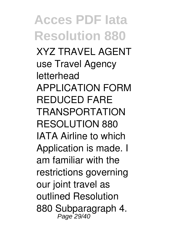**Acces PDF Iata Resolution 880** XYZ TRAVEL AGENT use Travel Agency letterhead APPLICATION FORM REDUCED FARE TRANSPORTATION RESOLUTION 880 IATA Airline to which Application is made. I am familiar with the restrictions governing our joint travel as outlined Resolution 880 Subparagraph 4. Page 29/40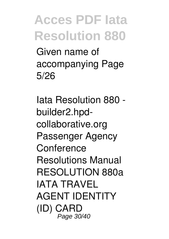Given name of accompanying Page 5/26

*Iata Resolution 880 builder2.hpdcollaborative.org* Passenger Agency Conference Resolutions Manual RESOLUTION 880a IATA TRAVEL AGENT IDENTITY (ID) CARD Page 30/40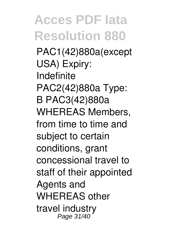**Acces PDF Iata Resolution 880** PAC1(42)880a(except USA) Expiry: Indefinite PAC2(42)880a Type: B PAC3(42)880a WHEREAS Members, from time to time and subject to certain conditions, grant concessional travel to staff of their appointed Agents and WHEREAS other travel industry Page 31/40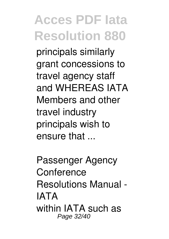principals similarly grant concessions to travel agency staff and WHEREAS IATA Members and other travel industry principals wish to ensure that ...

*Passenger Agency Conference Resolutions Manual - IATA* within IATA such as Page 32/40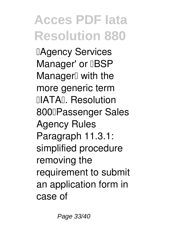**IAgency Services** Manager' or **IBSP** Manager<sup>[]</sup> with the more generic term **IIIATAIL Resolution** 800 Passenger Sales Agency Rules Paragraph 11.3.1: simplified procedure removing the requirement to submit an application form in case of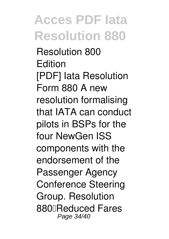*Resolution 800 Edition* [PDF] Iata Resolution Form 880 A new resolution formalising that IATA can conduct pilots in BSPs for the four NewGen ISS components with the endorsement of the Passenger Agency Conference Steering Group. Resolution 880 Reduced Fares Page 34/40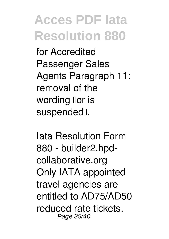for Accredited Passenger Sales Agents Paragraph 11: removal of the wording lor is suspended<sup>[]</sup>.

*Iata Resolution Form 880 - builder2.hpdcollaborative.org* Only IATA appointed travel agencies are entitled to AD75/AD50 reduced rate tickets. Page 35/40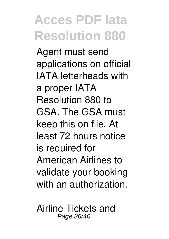Agent must send applications on official IATA letterheads with a proper IATA Resolution 880 to GSA. The GSA must keep this on file. At least 72 hours notice is required for American Airlines to validate your booking with an authorization.

*Airline Tickets and* Page 36/40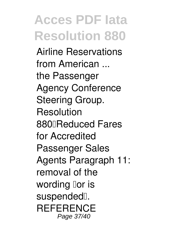*Airline Reservations from American ...* the Passenger Agency Conference Steering Group. **Resolution** 880<sub>D</sub>Reduced Fares for Accredited Passenger Sales Agents Paragraph 11: removal of the wording  $\textsf{I}$ or is suspended<sup>[]</sup>. **REFERENCE** Page 37/40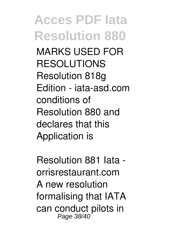MARKS USED FOR RESOLUTIONS Resolution 818g Edition - iata-asd.com conditions of Resolution 880 and declares that this Application is

*Resolution 881 Iata orrisrestaurant.com* A new resolution formalising that IATA can conduct pilots in Page 38/40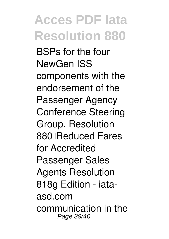BSPs for the four NewGen ISS components with the endorsement of the Passenger Agency Conference Steering Group. Resolution 880<sub>D</sub>Reduced Fares for Accredited Passenger Sales Agents Resolution 818g Edition - iataasd.com communication in the Page 39/40